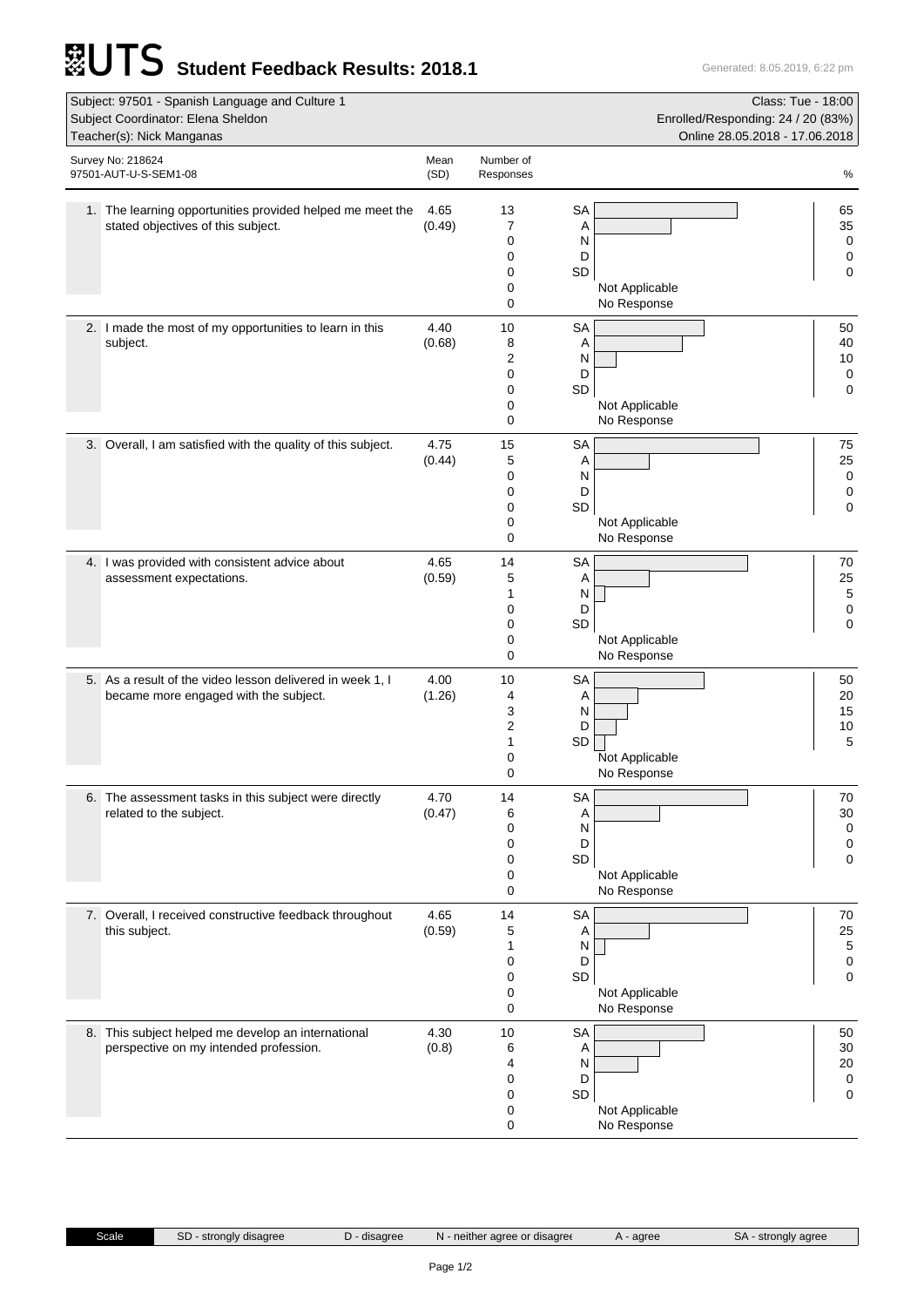## **Student Feedback Results: 2018.1** Generated: 8.05.2019, 6:22 pm

| Subject: 97501 - Spanish Language and Culture 1<br>Class: Tue - 18:00                                                                   |                |           |                               |  |  |  |  |
|-----------------------------------------------------------------------------------------------------------------------------------------|----------------|-----------|-------------------------------|--|--|--|--|
| Subject Coordinator: Elena Sheldon<br>Enrolled/Responding: 24 / 20 (83%)<br>Teacher(s): Nick Manganas<br>Online 28.05.2018 - 17.06.2018 |                |           |                               |  |  |  |  |
| Survey No: 218624                                                                                                                       | Mean           | Number of |                               |  |  |  |  |
| 97501-AUT-U-S-SEM1-08                                                                                                                   | (SD)           | Responses | %                             |  |  |  |  |
| 1. The learning opportunities provided helped me meet the                                                                               | 4.65           | 13        | <b>SA</b><br>65               |  |  |  |  |
| stated objectives of this subject.                                                                                                      | (0.49)         | 7         | Α<br>35                       |  |  |  |  |
|                                                                                                                                         |                | 0<br>0    | 0<br>N<br>D<br>0              |  |  |  |  |
|                                                                                                                                         |                | 0         | SD<br>0                       |  |  |  |  |
|                                                                                                                                         |                | 0<br>0    | Not Applicable<br>No Response |  |  |  |  |
| 2. I made the most of my opportunities to learn in this                                                                                 | 4.40           | 10        | <b>SA</b><br>50               |  |  |  |  |
| subject.                                                                                                                                | (0.68)         | 8         | 40<br>Α                       |  |  |  |  |
|                                                                                                                                         |                | 2<br>0    | 10<br>N<br>D                  |  |  |  |  |
|                                                                                                                                         |                | 0         | 0<br>0<br><b>SD</b>           |  |  |  |  |
|                                                                                                                                         |                | 0<br>0    | Not Applicable<br>No Response |  |  |  |  |
| 3. Overall, I am satisfied with the quality of this subject.                                                                            | 4.75           | 15        | <b>SA</b><br>75               |  |  |  |  |
|                                                                                                                                         | (0.44)         | 5         | 25<br>Α                       |  |  |  |  |
|                                                                                                                                         |                | 0         | N<br>$\mathbf 0$              |  |  |  |  |
|                                                                                                                                         |                | 0<br>0    | D<br>0<br>SD<br>0             |  |  |  |  |
|                                                                                                                                         |                | 0         | Not Applicable                |  |  |  |  |
|                                                                                                                                         |                | 0         | No Response                   |  |  |  |  |
| 4. I was provided with consistent advice about<br>assessment expectations.                                                              | 4.65<br>(0.59) | 14<br>5   | <b>SA</b><br>70<br>25<br>A    |  |  |  |  |
|                                                                                                                                         |                | 1         | 5<br>N                        |  |  |  |  |
|                                                                                                                                         |                | 0<br>0    | D<br>0<br>0<br><b>SD</b>      |  |  |  |  |
|                                                                                                                                         |                | 0         | Not Applicable                |  |  |  |  |
|                                                                                                                                         |                | 0         | No Response                   |  |  |  |  |
| 5. As a result of the video lesson delivered in week 1, I<br>became more engaged with the subject.                                      | 4.00<br>(1.26) | 10<br>4   | <b>SA</b><br>50<br>20<br>Α    |  |  |  |  |
|                                                                                                                                         |                | 3         | N<br>15                       |  |  |  |  |
|                                                                                                                                         |                | 2<br>1    | D<br>10<br>SD<br>5            |  |  |  |  |
|                                                                                                                                         |                | 0         | Not Applicable                |  |  |  |  |
|                                                                                                                                         |                | 0         | No Response                   |  |  |  |  |
| 6. The assessment tasks in this subject were directly<br>related to the subject.                                                        | 4.70<br>(0.47) | 14<br>6   | <b>SA</b><br>70<br>Α<br>30    |  |  |  |  |
|                                                                                                                                         |                | 0         | 0<br>N                        |  |  |  |  |
|                                                                                                                                         |                | 0<br>0    | D<br>0<br>SD<br>0             |  |  |  |  |
|                                                                                                                                         |                | 0         | Not Applicable                |  |  |  |  |
|                                                                                                                                         |                | 0         | No Response                   |  |  |  |  |
| 7. Overall, I received constructive feedback throughout<br>this subject.                                                                | 4.65<br>(0.59) | 14<br>5   | <b>SA</b><br>70<br>25<br>Α    |  |  |  |  |
|                                                                                                                                         |                | 1         | $\,$ 5 $\,$<br>N              |  |  |  |  |
|                                                                                                                                         |                | 0<br>0    | D<br>0<br>SD<br>0             |  |  |  |  |
|                                                                                                                                         |                | 0         | Not Applicable                |  |  |  |  |
|                                                                                                                                         |                | 0         | No Response                   |  |  |  |  |
| 8. This subject helped me develop an international<br>perspective on my intended profession.                                            | 4.30<br>(0.8)  | 10<br>6   | <b>SA</b><br>50<br>30<br>Α    |  |  |  |  |
|                                                                                                                                         |                | 4         | N<br>20                       |  |  |  |  |
|                                                                                                                                         |                | 0         | D<br>$\mathbf 0$<br>0         |  |  |  |  |
|                                                                                                                                         |                | 0<br>0    | SD<br>Not Applicable          |  |  |  |  |
|                                                                                                                                         |                | 0         | No Response                   |  |  |  |  |